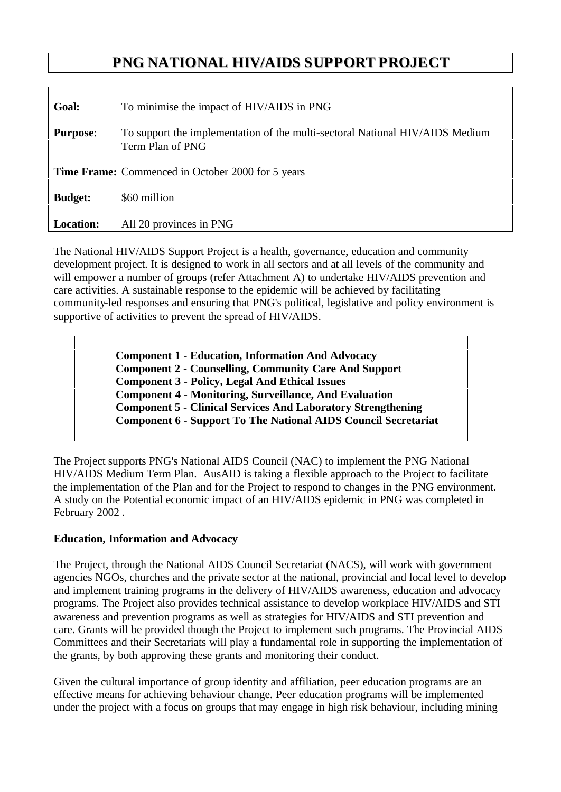# **PNG NATIONAL HIV/AIDS SUPPORT PROJECT**

| Goal:            | To minimise the impact of HIV/AIDS in PNG                                                        |
|------------------|--------------------------------------------------------------------------------------------------|
| <b>Purpose:</b>  | To support the implementation of the multi-sectoral National HIV/AIDS Medium<br>Term Plan of PNG |
|                  | <b>Time Frame:</b> Commenced in October 2000 for 5 years                                         |
| <b>Budget:</b>   | \$60 million                                                                                     |
| <b>Location:</b> | All 20 provinces in PNG                                                                          |

The National HIV/AIDS Support Project is a health, governance, education and community development project. It is designed to work in all sectors and at all levels of the community and will empower a number of groups (refer Attachment A) to undertake HIV/AIDS prevention and care activities. A sustainable response to the epidemic will be achieved by facilitating community-led responses and ensuring that PNG's political, legislative and policy environment is supportive of activities to prevent the spread of HIV/AIDS.

> **Component 1 - Education, Information And Advocacy Component 2 - Counselling, Community Care And Support Component 3 - Policy, Legal And Ethical Issues Component 4 - Monitoring, Surveillance, And Evaluation Component 5 - Clinical Services And Laboratory Strengthening Component 6 - Support To The National AIDS Council Secretariat**

The Project supports PNG's National AIDS Council (NAC) to implement the PNG National HIV/AIDS Medium Term Plan. AusAID is taking a flexible approach to the Project to facilitate the implementation of the Plan and for the Project to respond to changes in the PNG environment. A study on the Potential economic impact of an HIV/AIDS epidemic in PNG was completed in February 2002 .

## **Education, Information and Advocacy**

The Project, through the National AIDS Council Secretariat (NACS), will work with government agencies NGOs, churches and the private sector at the national, provincial and local level to develop and implement training programs in the delivery of HIV/AIDS awareness, education and advocacy programs. The Project also provides technical assistance to develop workplace HIV/AIDS and STI awareness and prevention programs as well as strategies for HIV/AIDS and STI prevention and care. Grants will be provided though the Project to implement such programs. The Provincial AIDS Committees and their Secretariats will play a fundamental role in supporting the implementation of the grants, by both approving these grants and monitoring their conduct.

Given the cultural importance of group identity and affiliation, peer education programs are an effective means for achieving behaviour change. Peer education programs will be implemented under the project with a focus on groups that may engage in high risk behaviour, including mining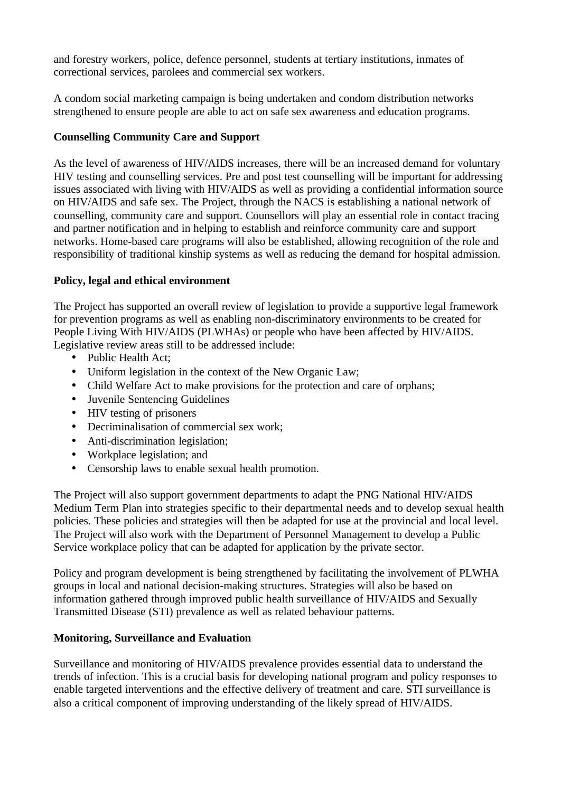and forestry workers, police, defence personnel, students at tertiary institutions, inmates of correctional services, parolees and commercial sex workers.

A condom social marketing campaign is being undertaken and condom distribution networks strengthened to ensure people are able to act on safe sex awareness and education programs.

# **Counselling Community Care and Support**

As the level of awareness of HIV/AIDS increases, there will be an increased demand for voluntary HIV testing and counselling services. Pre and post test counselling will be important for addressing issues associated with living with HIV/AIDS as well as providing a confidential information source on HIV/AIDS and safe sex. The Project, through the NACS is establishing a national network of counselling, community care and support. Counsellors will play an essential role in contact tracing and partner notification and in helping to establish and reinforce community care and support networks. Home-based care programs will also be established, allowing recognition of the role and responsibility of traditional kinship systems as well as reducing the demand for hospital admission.

# **Policy, legal and ethical environment**

The Project has supported an overall review of legislation to provide a supportive legal framework for prevention programs as well as enabling non-discriminatory environments to be created for People Living With HIV/AIDS (PLWHAs) or people who have been affected by HIV/AIDS. Legislative review areas still to be addressed include:

- Public Health Act:
- Uniform legislation in the context of the New Organic Law;
- Child Welfare Act to make provisions for the protection and care of orphans;
- Juvenile Sentencing Guidelines
- HIV testing of prisoners
- Decriminalisation of commercial sex work;
- Anti-discrimination legislation;
- Workplace legislation; and
- Censorship laws to enable sexual health promotion.

The Project will also support government departments to adapt the PNG National HIV/AIDS Medium Term Plan into strategies specific to their departmental needs and to develop sexual health policies. These policies and strategies will then be adapted for use at the provincial and local level. The Project will also work with the Department of Personnel Management to develop a Public Service workplace policy that can be adapted for application by the private sector.

Policy and program development is being strengthened by facilitating the involvement of PLWHA groups in local and national decision-making structures. Strategies will also be based on information gathered through improved public health surveillance of HIV/AIDS and Sexually Transmitted Disease (STI) prevalence as well as related behaviour patterns.

## **Monitoring, Surveillance and Evaluation**

Surveillance and monitoring of HIV/AIDS prevalence provides essential data to understand the trends of infection. This is a crucial basis for developing national program and policy responses to enable targeted interventions and the effective delivery of treatment and care. STI surveillance is also a critical component of improving understanding of the likely spread of HIV/AIDS.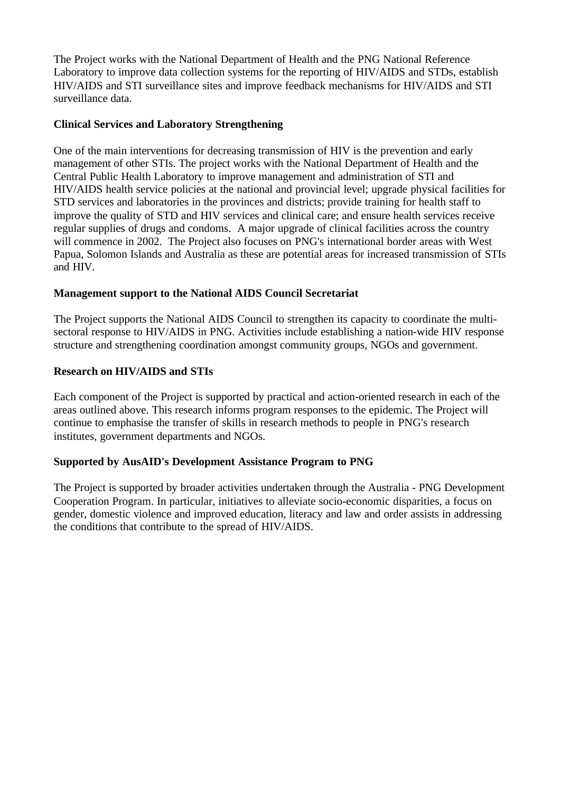The Project works with the National Department of Health and the PNG National Reference Laboratory to improve data collection systems for the reporting of HIV/AIDS and STDs, establish HIV/AIDS and STI surveillance sites and improve feedback mechanisms for HIV/AIDS and STI surveillance data.

## **Clinical Services and Laboratory Strengthening**

One of the main interventions for decreasing transmission of HIV is the prevention and early management of other STIs. The project works with the National Department of Health and the Central Public Health Laboratory to improve management and administration of STI and HIV/AIDS health service policies at the national and provincial level; upgrade physical facilities for STD services and laboratories in the provinces and districts; provide training for health staff to improve the quality of STD and HIV services and clinical care; and ensure health services receive regular supplies of drugs and condoms. A major upgrade of clinical facilities across the country will commence in 2002. The Project also focuses on PNG's international border areas with West Papua, Solomon Islands and Australia as these are potential areas for increased transmission of STIs and HIV.

## **Management support to the National AIDS Council Secretariat**

The Project supports the National AIDS Council to strengthen its capacity to coordinate the multisectoral response to HIV/AIDS in PNG. Activities include establishing a nation-wide HIV response structure and strengthening coordination amongst community groups, NGOs and government.

#### **Research on HIV/AIDS and STIs**

Each component of the Project is supported by practical and action-oriented research in each of the areas outlined above. This research informs program responses to the epidemic. The Project will continue to emphasise the transfer of skills in research methods to people in PNG's research institutes, government departments and NGOs.

#### **Supported by AusAID's Development Assistance Program to PNG**

The Project is supported by broader activities undertaken through the Australia - PNG Development Cooperation Program. In particular, initiatives to alleviate socio-economic disparities, a focus on gender, domestic violence and improved education, literacy and law and order assists in addressing the conditions that contribute to the spread of HIV/AIDS.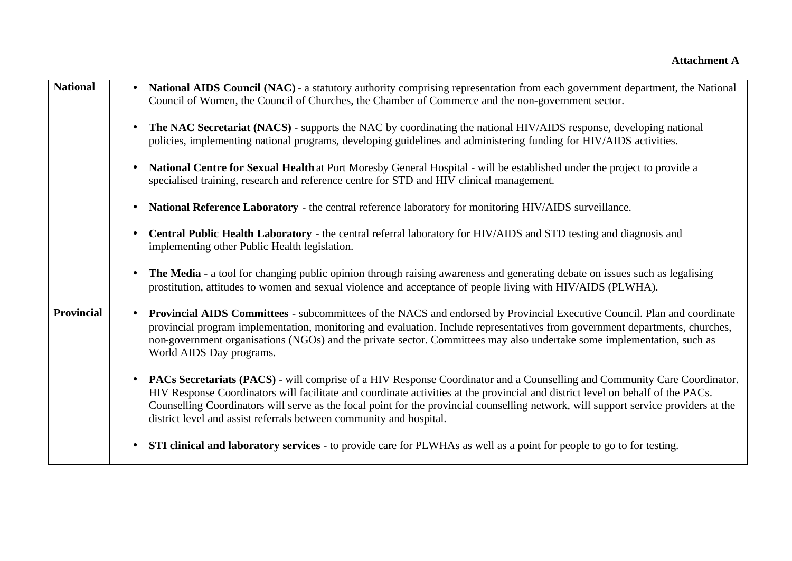| <b>National</b>   | National AIDS Council (NAC) - a statutory authority comprising representation from each government department, the National<br>Council of Women, the Council of Churches, the Chamber of Commerce and the non-government sector.                                                                                                                                                                                                                                                        |
|-------------------|-----------------------------------------------------------------------------------------------------------------------------------------------------------------------------------------------------------------------------------------------------------------------------------------------------------------------------------------------------------------------------------------------------------------------------------------------------------------------------------------|
|                   | The NAC Secretariat (NACS) - supports the NAC by coordinating the national HIV/AIDS response, developing national<br>$\bullet$<br>policies, implementing national programs, developing guidelines and administering funding for HIV/AIDS activities.                                                                                                                                                                                                                                    |
|                   | National Centre for Sexual Health at Port Moresby General Hospital - will be established under the project to provide a<br>$\bullet$<br>specialised training, research and reference centre for STD and HIV clinical management.                                                                                                                                                                                                                                                        |
|                   | National Reference Laboratory - the central reference laboratory for monitoring HIV/AIDS surveillance.<br>$\bullet$                                                                                                                                                                                                                                                                                                                                                                     |
|                   | Central Public Health Laboratory - the central referral laboratory for HIV/AIDS and STD testing and diagnosis and<br>$\bullet$<br>implementing other Public Health legislation.                                                                                                                                                                                                                                                                                                         |
|                   | The Media - a tool for changing public opinion through raising awareness and generating debate on issues such as legalising<br>$\bullet$<br>prostitution, attitudes to women and sexual violence and acceptance of people living with HIV/AIDS (PLWHA).                                                                                                                                                                                                                                 |
| <b>Provincial</b> | Provincial AIDS Committees - subcommittees of the NACS and endorsed by Provincial Executive Council. Plan and coordinate<br>$\bullet$<br>provincial program implementation, monitoring and evaluation. Include representatives from government departments, churches,<br>non-government organisations (NGOs) and the private sector. Committees may also undertake some implementation, such as<br>World AIDS Day programs.                                                             |
|                   | PACs Secretariats (PACS) - will comprise of a HIV Response Coordinator and a Counselling and Community Care Coordinator.<br>$\bullet$<br>HIV Response Coordinators will facilitate and coordinate activities at the provincial and district level on behalf of the PACs.<br>Counselling Coordinators will serve as the focal point for the provincial counselling network, will support service providers at the<br>district level and assist referrals between community and hospital. |
|                   | <b>STI clinical and laboratory services</b> - to provide care for PLWHAs as well as a point for people to go to for testing.<br>$\bullet$                                                                                                                                                                                                                                                                                                                                               |